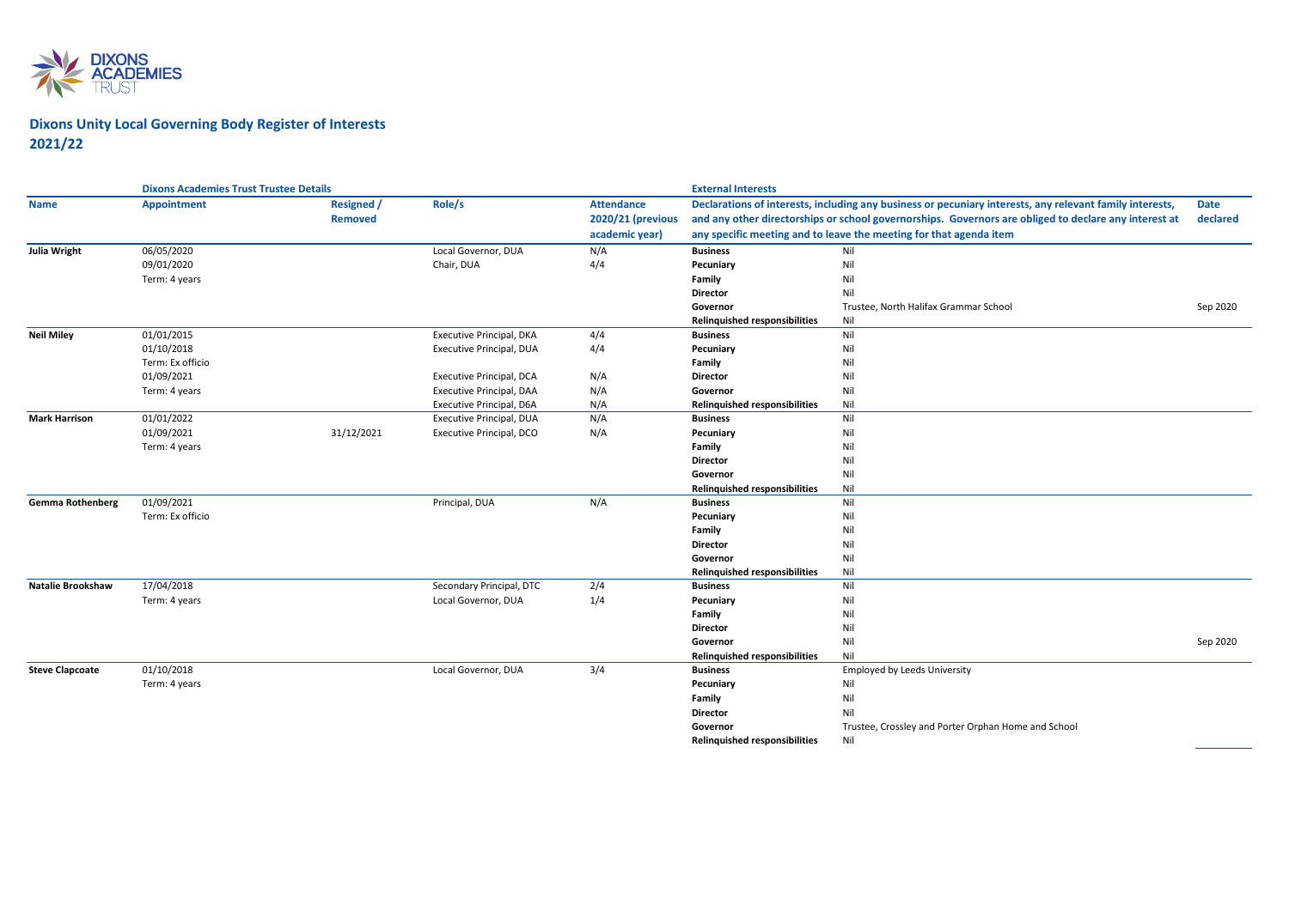

## **Dixons Unity Local Governing Body Register of Interests 2021/22**

|                          | <b>Dixons Academies Trust Trustee Details</b> |                                     |                                 |                                                          | <b>External Interests</b><br>Declarations of interests, including any business or pecuniary interests, any relevant family interests,<br><b>Date</b><br>and any other directorships or school governorships. Governors are obliged to declare any interest at<br>declared<br>any specific meeting and to leave the meeting for that agenda item |                                                     |          |
|--------------------------|-----------------------------------------------|-------------------------------------|---------------------------------|----------------------------------------------------------|-------------------------------------------------------------------------------------------------------------------------------------------------------------------------------------------------------------------------------------------------------------------------------------------------------------------------------------------------|-----------------------------------------------------|----------|
| <b>Name</b>              | <b>Appointment</b>                            | <b>Resigned /</b><br><b>Removed</b> | Role/s                          | <b>Attendance</b><br>2020/21 (previous<br>academic year) |                                                                                                                                                                                                                                                                                                                                                 |                                                     |          |
| Julia Wright             | 06/05/2020                                    |                                     | Local Governor, DUA             | N/A                                                      | <b>Business</b>                                                                                                                                                                                                                                                                                                                                 | Nil                                                 |          |
|                          | 09/01/2020                                    |                                     | Chair, DUA                      | 4/4                                                      | Pecuniary                                                                                                                                                                                                                                                                                                                                       | Nil                                                 |          |
|                          | Term: 4 years                                 |                                     |                                 |                                                          | Family                                                                                                                                                                                                                                                                                                                                          | Nil                                                 |          |
|                          |                                               |                                     |                                 |                                                          | <b>Director</b>                                                                                                                                                                                                                                                                                                                                 | Nil                                                 |          |
|                          |                                               |                                     |                                 |                                                          | Governor                                                                                                                                                                                                                                                                                                                                        | Trustee, North Halifax Grammar School               | Sep 2020 |
|                          |                                               |                                     |                                 |                                                          | Relinquished responsibilities                                                                                                                                                                                                                                                                                                                   | Nil                                                 |          |
| <b>Neil Miley</b>        | 01/01/2015                                    |                                     | Executive Principal, DKA        | 4/4                                                      | <b>Business</b>                                                                                                                                                                                                                                                                                                                                 | Nil                                                 |          |
|                          | 01/10/2018                                    |                                     | Executive Principal, DUA        | 4/4                                                      | Pecuniary                                                                                                                                                                                                                                                                                                                                       | Nil                                                 |          |
|                          | Term: Ex officio                              |                                     |                                 |                                                          | Family                                                                                                                                                                                                                                                                                                                                          | Nil                                                 |          |
|                          | 01/09/2021                                    |                                     | <b>Executive Principal, DCA</b> | N/A                                                      | <b>Director</b>                                                                                                                                                                                                                                                                                                                                 | Nil                                                 |          |
|                          | Term: 4 years                                 |                                     | Executive Principal, DAA        | N/A                                                      | Governor                                                                                                                                                                                                                                                                                                                                        | Nil                                                 |          |
|                          |                                               |                                     | Executive Principal, D6A        | N/A                                                      | <b>Relinquished responsibilities</b>                                                                                                                                                                                                                                                                                                            | Nil                                                 |          |
| <b>Mark Harrison</b>     | 01/01/2022                                    |                                     | Executive Principal, DUA        | N/A                                                      | <b>Business</b>                                                                                                                                                                                                                                                                                                                                 | Nil                                                 |          |
|                          | 01/09/2021                                    | 31/12/2021                          | Executive Principal, DCO        | N/A                                                      | Pecuniary                                                                                                                                                                                                                                                                                                                                       | Nil                                                 |          |
|                          | Term: 4 years                                 |                                     |                                 |                                                          | Family                                                                                                                                                                                                                                                                                                                                          | Nil                                                 |          |
|                          |                                               |                                     |                                 |                                                          | <b>Director</b>                                                                                                                                                                                                                                                                                                                                 | Nil                                                 |          |
|                          |                                               |                                     |                                 |                                                          | Governor                                                                                                                                                                                                                                                                                                                                        | Nil                                                 |          |
|                          |                                               |                                     |                                 |                                                          | Relinquished responsibilities                                                                                                                                                                                                                                                                                                                   | Nil                                                 |          |
| <b>Gemma Rothenberg</b>  | 01/09/2021                                    |                                     | Principal, DUA                  | N/A                                                      | <b>Business</b>                                                                                                                                                                                                                                                                                                                                 | Nil                                                 |          |
|                          | Term: Ex officio                              |                                     |                                 |                                                          | Pecuniary                                                                                                                                                                                                                                                                                                                                       | Nil                                                 |          |
|                          |                                               |                                     |                                 |                                                          | Family                                                                                                                                                                                                                                                                                                                                          | Nil                                                 |          |
|                          |                                               |                                     |                                 |                                                          | <b>Director</b>                                                                                                                                                                                                                                                                                                                                 | Nil                                                 |          |
|                          |                                               |                                     |                                 |                                                          | Governor                                                                                                                                                                                                                                                                                                                                        | Nil                                                 |          |
|                          |                                               |                                     |                                 |                                                          | Relinquished responsibilities                                                                                                                                                                                                                                                                                                                   | Nil                                                 |          |
| <b>Natalie Brookshaw</b> | 17/04/2018                                    |                                     | Secondary Principal, DTC        | 2/4                                                      | <b>Business</b>                                                                                                                                                                                                                                                                                                                                 | Nil                                                 |          |
|                          | Term: 4 years                                 |                                     | Local Governor, DUA             | 1/4                                                      | Pecuniary                                                                                                                                                                                                                                                                                                                                       | Nil                                                 |          |
|                          |                                               |                                     |                                 |                                                          | Family                                                                                                                                                                                                                                                                                                                                          | Nil                                                 |          |
|                          |                                               |                                     |                                 |                                                          | Director                                                                                                                                                                                                                                                                                                                                        | Nil                                                 |          |
|                          |                                               |                                     |                                 |                                                          | Governor                                                                                                                                                                                                                                                                                                                                        | Nil                                                 | Sep 2020 |
|                          |                                               |                                     |                                 |                                                          | <b>Relinguished responsibilities</b>                                                                                                                                                                                                                                                                                                            | Nil                                                 |          |
| <b>Steve Clapcoate</b>   | 01/10/2018                                    |                                     | Local Governor, DUA             | 3/4                                                      | <b>Business</b>                                                                                                                                                                                                                                                                                                                                 | Employed by Leeds University                        |          |
|                          | Term: 4 years                                 |                                     |                                 |                                                          | Pecuniary                                                                                                                                                                                                                                                                                                                                       | Nil                                                 |          |
|                          |                                               |                                     |                                 |                                                          | Family                                                                                                                                                                                                                                                                                                                                          | Nil                                                 |          |
|                          |                                               |                                     |                                 |                                                          | Director                                                                                                                                                                                                                                                                                                                                        | Nil                                                 |          |
|                          |                                               |                                     |                                 |                                                          | Governor                                                                                                                                                                                                                                                                                                                                        | Trustee, Crossley and Porter Orphan Home and School |          |
|                          |                                               |                                     |                                 |                                                          | Relinquished responsibilities                                                                                                                                                                                                                                                                                                                   | Nil                                                 |          |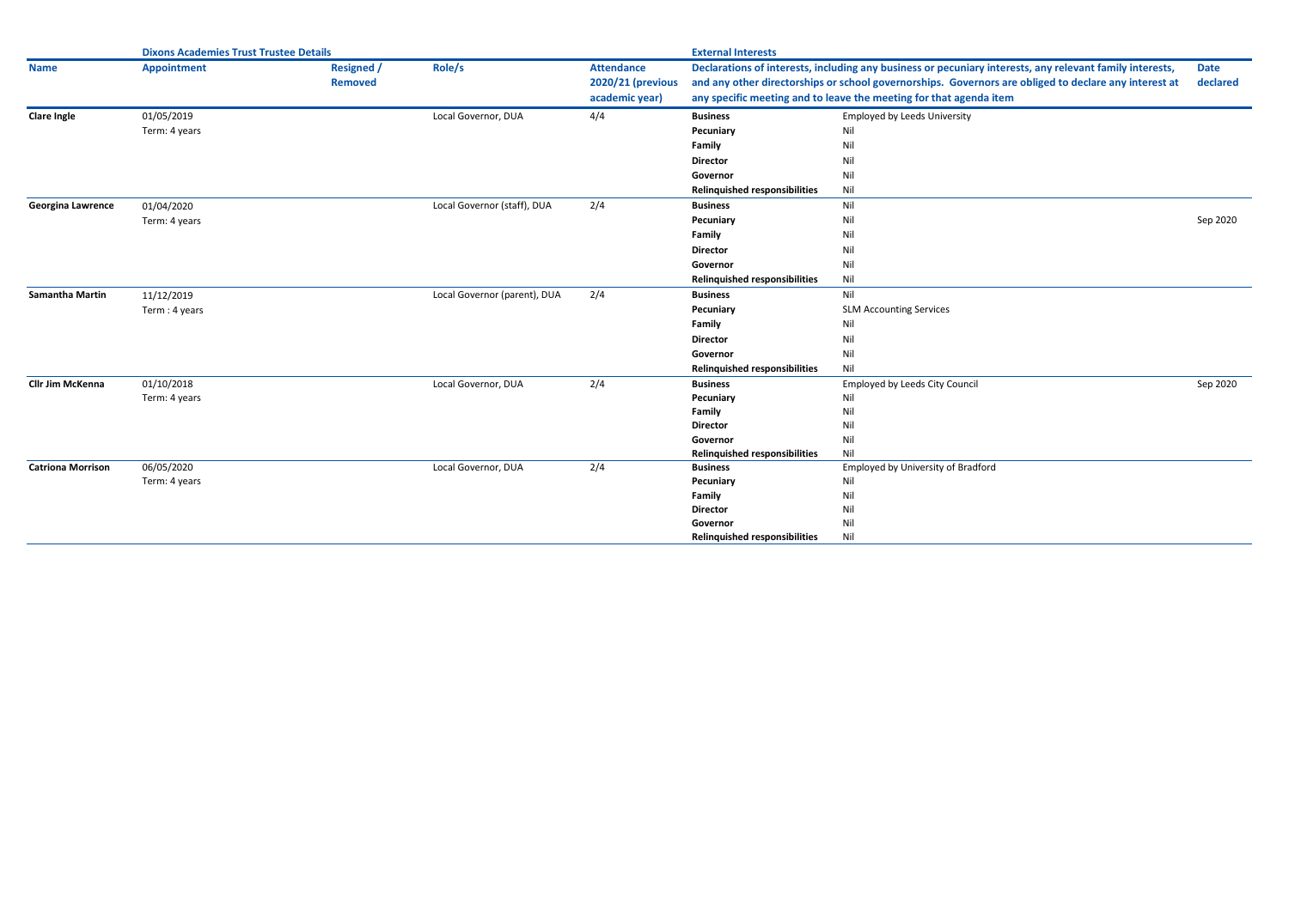|                          | <b>Dixons Academies Trust Trustee Details</b> |                                     |                              | <b>External Interests</b>                                |                                           |                                                                                                                                                                                                                                                                                         |                         |
|--------------------------|-----------------------------------------------|-------------------------------------|------------------------------|----------------------------------------------------------|-------------------------------------------|-----------------------------------------------------------------------------------------------------------------------------------------------------------------------------------------------------------------------------------------------------------------------------------------|-------------------------|
| <b>Name</b>              | <b>Appointment</b>                            | <b>Resigned</b> /<br><b>Removed</b> | Role/s                       | <b>Attendance</b><br>2020/21 (previous<br>academic year) |                                           | Declarations of interests, including any business or pecuniary interests, any relevant family interests,<br>and any other directorships or school governorships. Governors are obliged to declare any interest at<br>any specific meeting and to leave the meeting for that agenda item | <b>Date</b><br>declared |
| <b>Clare Ingle</b>       | 01/05/2019                                    |                                     | Local Governor, DUA          | 4/4                                                      | <b>Business</b>                           | <b>Employed by Leeds University</b>                                                                                                                                                                                                                                                     |                         |
|                          | Term: 4 years                                 |                                     |                              |                                                          | Pecuniary                                 | Nil                                                                                                                                                                                                                                                                                     |                         |
|                          |                                               |                                     |                              |                                                          | Family                                    | Nil                                                                                                                                                                                                                                                                                     |                         |
|                          |                                               |                                     |                              |                                                          | <b>Director</b>                           | Nil                                                                                                                                                                                                                                                                                     |                         |
|                          |                                               |                                     |                              |                                                          | Governor                                  | Nil                                                                                                                                                                                                                                                                                     |                         |
|                          |                                               |                                     |                              |                                                          | <b>Relinquished responsibilities</b>      | Nil                                                                                                                                                                                                                                                                                     |                         |
| <b>Georgina Lawrence</b> | 01/04/2020                                    |                                     | Local Governor (staff), DUA  | 2/4                                                      | <b>Business</b>                           | Nil                                                                                                                                                                                                                                                                                     |                         |
|                          | Term: 4 years                                 |                                     |                              |                                                          | Pecuniary                                 | Nil                                                                                                                                                                                                                                                                                     | Sep 2020                |
|                          |                                               |                                     |                              |                                                          | Family                                    | Nil                                                                                                                                                                                                                                                                                     |                         |
|                          |                                               |                                     |                              |                                                          | Director                                  | Nil                                                                                                                                                                                                                                                                                     |                         |
|                          |                                               |                                     |                              |                                                          | Governor                                  | Nil                                                                                                                                                                                                                                                                                     |                         |
|                          |                                               |                                     |                              |                                                          | <b>Relinquished responsibilities</b>      | Nil                                                                                                                                                                                                                                                                                     |                         |
| <b>Samantha Martin</b>   | 11/12/2019                                    |                                     | Local Governor (parent), DUA | 2/4                                                      | <b>Business</b>                           | Nil                                                                                                                                                                                                                                                                                     |                         |
|                          | Term: 4 years                                 |                                     |                              |                                                          | Pecuniary                                 | <b>SLM Accounting Services</b>                                                                                                                                                                                                                                                          |                         |
|                          |                                               |                                     |                              |                                                          | Family                                    | Nil                                                                                                                                                                                                                                                                                     |                         |
|                          |                                               |                                     |                              |                                                          | <b>Director</b>                           | Nil                                                                                                                                                                                                                                                                                     |                         |
|                          |                                               |                                     |                              |                                                          | Governor                                  | Nil                                                                                                                                                                                                                                                                                     |                         |
|                          |                                               |                                     |                              |                                                          | <b>Relinquished responsibilities</b>      | Nil                                                                                                                                                                                                                                                                                     |                         |
| <b>Cllr Jim McKenna</b>  | 01/10/2018                                    |                                     | Local Governor, DUA          | 2/4                                                      | <b>Business</b>                           | <b>Employed by Leeds City Council</b>                                                                                                                                                                                                                                                   | Sep 2020                |
|                          | Term: 4 years                                 |                                     |                              |                                                          | Pecuniary                                 | Nil                                                                                                                                                                                                                                                                                     |                         |
|                          |                                               |                                     |                              |                                                          | Family                                    | Nil                                                                                                                                                                                                                                                                                     |                         |
|                          |                                               |                                     |                              |                                                          | <b>Director</b>                           | Nil                                                                                                                                                                                                                                                                                     |                         |
|                          |                                               |                                     |                              |                                                          | Governor<br>Relinquished responsibilities | Nil<br>Nil                                                                                                                                                                                                                                                                              |                         |
| <b>Catriona Morrison</b> | 06/05/2020                                    |                                     | Local Governor, DUA          | 2/4                                                      | <b>Business</b>                           | Employed by University of Bradford                                                                                                                                                                                                                                                      |                         |
|                          | Term: 4 years                                 |                                     |                              |                                                          | Pecuniary                                 | Nil                                                                                                                                                                                                                                                                                     |                         |
|                          |                                               |                                     |                              |                                                          | Family                                    | Nil                                                                                                                                                                                                                                                                                     |                         |
|                          |                                               |                                     |                              |                                                          | <b>Director</b>                           | Nil                                                                                                                                                                                                                                                                                     |                         |
|                          |                                               |                                     |                              |                                                          | Governor                                  | Nil                                                                                                                                                                                                                                                                                     |                         |
|                          |                                               |                                     |                              |                                                          | <b>Relinquished responsibilities</b>      | Nil                                                                                                                                                                                                                                                                                     |                         |